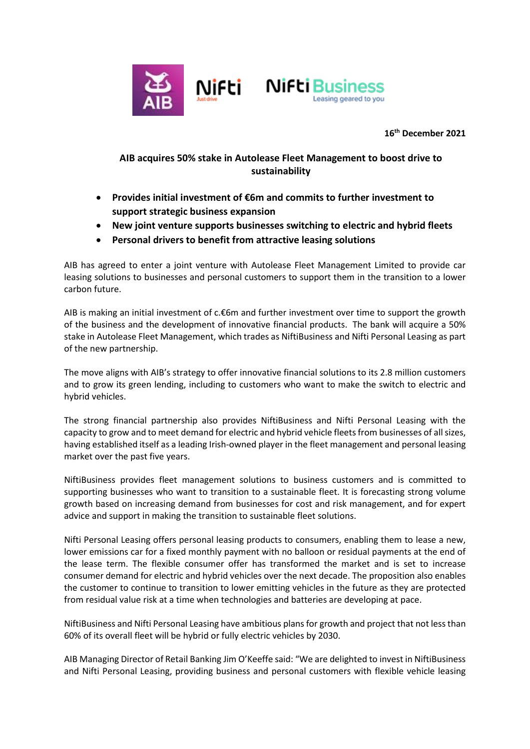



 **16th December 2021**

## **AIB acquires 50% stake in Autolease Fleet Management to boost drive to sustainability**

- **Provides initial investment of €6m and commits to further investment to support strategic business expansion**
- **New joint venture supports businesses switching to electric and hybrid fleets**
- **Personal drivers to benefit from attractive leasing solutions**

AIB has agreed to enter a joint venture with Autolease Fleet Management Limited to provide car leasing solutions to businesses and personal customers to support them in the transition to a lower carbon future.

AIB is making an initial investment of c.€6m and further investment over time to support the growth of the business and the development of innovative financial products. The bank will acquire a 50% stake in Autolease Fleet Management, which trades as NiftiBusiness and Nifti Personal Leasing as part of the new partnership.

The move aligns with AIB's strategy to offer innovative financial solutions to its 2.8 million customers and to grow its green lending, including to customers who want to make the switch to electric and hybrid vehicles.

The strong financial partnership also provides NiftiBusiness and Nifti Personal Leasing with the capacity to grow and to meet demand for electric and hybrid vehicle fleets from businesses of all sizes, having established itself as a leading Irish-owned player in the fleet management and personal leasing market over the past five years.

NiftiBusiness provides fleet management solutions to business customers and is committed to supporting businesses who want to transition to a sustainable fleet. It is forecasting strong volume growth based on increasing demand from businesses for cost and risk management, and for expert advice and support in making the transition to sustainable fleet solutions.

Nifti Personal Leasing offers personal leasing products to consumers, enabling them to lease a new, lower emissions car for a fixed monthly payment with no balloon or residual payments at the end of the lease term. The flexible consumer offer has transformed the market and is set to increase consumer demand for electric and hybrid vehicles over the next decade. The proposition also enables the customer to continue to transition to lower emitting vehicles in the future as they are protected from residual value risk at a time when technologies and batteries are developing at pace.

NiftiBusiness and Nifti Personal Leasing have ambitious plans for growth and project that not less than 60% of its overall fleet will be hybrid or fully electric vehicles by 2030.

AIB Managing Director of Retail Banking Jim O'Keeffe said: "We are delighted to invest in NiftiBusiness and Nifti Personal Leasing, providing business and personal customers with flexible vehicle leasing